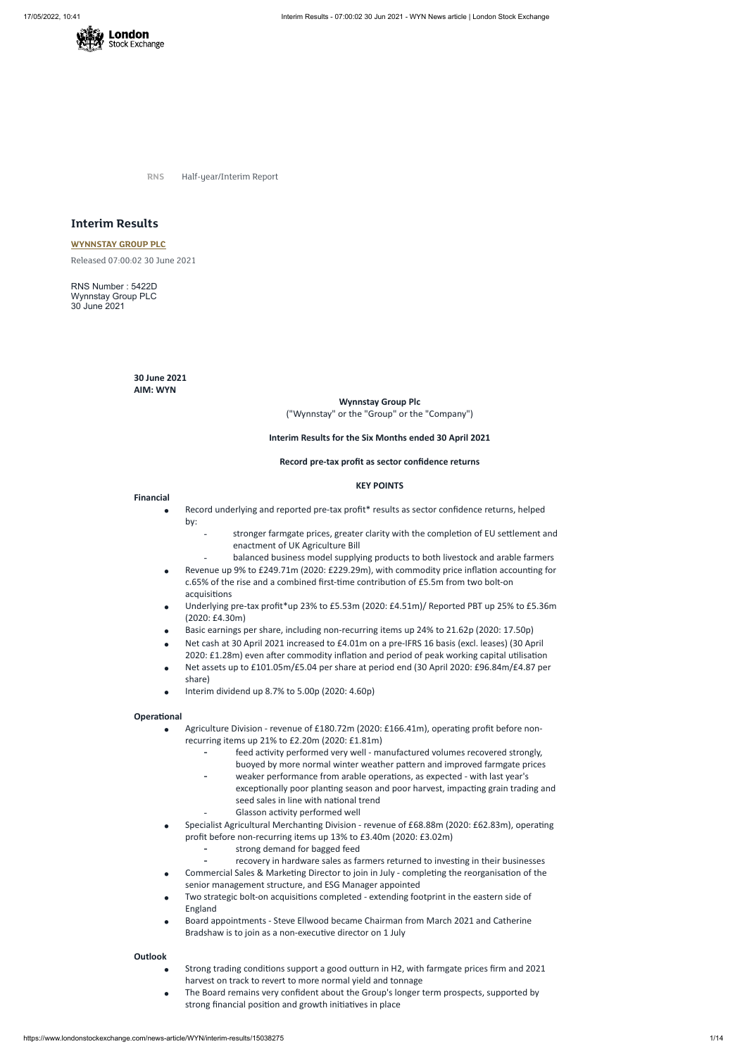

**RNS** Half-year/Interim Report

# **Interim Results**

**[WYNNSTAY](https://www.londonstockexchange.com/stock/WYN/wynnstay-group-plc) GROUP PLC** Released 07:00:02 30 June 2021

- · Record underlying and reported pre-tax profit\* results as sector confidence returns, helped by:
	- stronger farmgate prices, greater clarity with the completion of EU settlement and enactment of UK Agriculture Bill
	- balanced business model supplying products to both livestock and arable farmers
- Revenue up 9% to £249.71m (2020: £229.29m), with commodity price inflation accounting for c.65% of the rise and a combined first-time contribution of £5.5m from two bolt-on acquisitions
- Underlying pre-tax profit\*up 23% to £5.53m (2020: £4.51m)/ Reported PBT up 25% to £5.36m (2020: £4.30m)
- Basic earnings per share, including non-recurring items up 24% to 21.62p (2020: 17.50p)
- · Net cash at 30 April 2021 increased to £4.01m on a pre-IFRS 16 basis (excl. leases) (30 April 2020: £1.28m) even after commodity inflation and period of peak working capital utilisation
- Net assets up to £101.05m/£5.04 per share at period end (30 April 2020: £96.84m/£4.87 per share)
- $\bullet$  Interim dividend up 8.7% to 5.00p (2020: 4.60p)

RNS Number : 5422D Wynnstay Group PLC 30 June 2021

> **30 June 2021 AIM: WYN**

# **Wynnstay Group Plc** ("Wynnstay" or the "Group" or the "Company")

# **Interim Results for the Six Months ended 30 April 2021**

# **Record pre-tax profit as sector confidence returns**

# **KEY POINTS**

# **Financial**

# **Operational**

- · Agriculture Division revenue of £180.72m (2020: £166.41m), operating profit before nonrecurring items up 21% to £2.20m (2020: £1.81m)
	- feed activity performed very well manufactured volumes recovered strongly, buoyed by more normal winter weather pattern and improved farmgate prices
	- weaker performance from arable operations, as expected with last year's
	- exceptionally poor planting season and poor harvest, impacting grain trading and
		- seed sales in line with national trend
	- Glasson activity performed well
- · Specialist Agricultural Merchanting Division revenue of £68.88m (2020: £62.83m), operating profit before non-recurring items up 13% to £3.40m (2020: £3.02m)
	- strong demand for bagged feed
	- recovery in hardware sales as farmers returned to investing in their businesses
- Commercial Sales & Marketing Director to join in July completing the reorganisation of the senior management structure, and ESG Manager appointed
- Two strategic bolt-on acquisitions completed extending footprint in the eastern side of England
- · Board appointments Steve Ellwood became Chairman from March 2021 and Catherine Bradshaw is to join as a non-executive director on 1 July

### **Outlook**

- · Strong trading conditions support a good outturn in H2, with farmgate prices firm and 2021 harvest on track to revert to more normal yield and tonnage
- The Board remains very confident about the Group's longer term prospects, supported by strong financial position and growth initiatives in place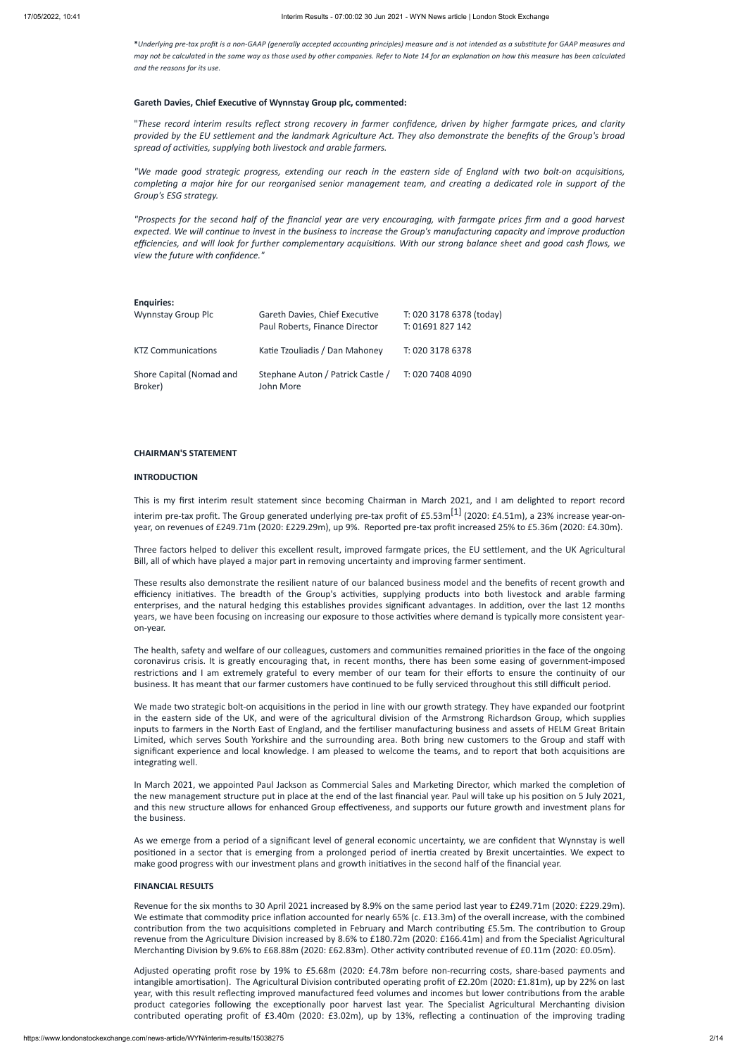**\****Underlying pre-tax profit is a non-GAAP (generally accepted accounting principles) measure and is not intended as a substitute for GAAP measures and may not be calculated in the same way as those used by other companies. Refer to Note 14 for an explanation on how this measure has been calculated and the reasons for its use.*

"These record interim results reflect strong recovery in farmer confidence, driven by higher farmgate prices, and clarity provided by the EU settlement and the landmark Agriculture Act. They also demonstrate the benefits of the Group's broad *spread of activities, supplying both livestock and arable farmers.*

#### **Gareth Davies, Chief Executive of Wynnstay Group plc, commented:**

"We made good strategic progress, extending our reach in the eastern side of England with two bolt-on acquisitions, completing a major hire for our reorganised senior management team, and creating a dedicated role in support of the *Group's ESG strategy.*

"Prospects for the second half of the financial year are very encouraging, with farmgate prices firm and a good harvest expected. We will continue to invest in the business to increase the Group's manufacturing capacity and improve production efficiencies, and will look for further complementary acquisitions. With our strong balance sheet and good cash flows, we *view the future with confidence."*

### **Enquiries:**

| <b>Wynnstay Group Plc</b>           | Gareth Davies, Chief Executive<br>Paul Roberts, Finance Director | T: 020 3178 6378 (today)<br>T: 01691 827 142 |
|-------------------------------------|------------------------------------------------------------------|----------------------------------------------|
| <b>KTZ Communications</b>           | Katie Tzouliadis / Dan Mahoney                                   | T: 020 3178 6378                             |
| Shore Capital (Nomad and<br>Broker) | Stephane Auton / Patrick Castle /<br>John More                   | T: 020 7408 4090                             |

### **CHAIRMAN'S STATEMENT**

### **INTRODUCTION**

This is my first interim result statement since becoming Chairman in March 2021, and I am delighted to report record interim pre-tax profit. The Group generated underlying pre-tax profit of £5.53m $^{[1]}$  (2020: £4.51m), a 23% increase year-onyear, on revenues of £249.71m (2020: £229.29m), up 9%. Reported pre-tax profit increased 25% to £5.36m (2020: £4.30m).

Three factors helped to deliver this excellent result, improved farmgate prices, the EU settlement, and the UK Agricultural Bill, all of which have played a major part in removing uncertainty and improving farmer sentiment.

These results also demonstrate the resilient nature of our balanced business model and the benefits of recent growth and efficiency initiatives. The breadth of the Group's activities, supplying products into both livestock and arable farming enterprises, and the natural hedging this establishes provides significant advantages. In addition, over the last 12 months years, we have been focusing on increasing our exposure to those activities where demand is typically more consistent yearon-year.

The health, safety and welfare of our colleagues, customers and communities remained priorities in the face of the ongoing coronavirus crisis. It is greatly encouraging that, in recent months, there has been some easing of government-imposed restrictions and I am extremely grateful to every member of our team for their efforts to ensure the continuity of our business. It has meant that our farmer customers have continued to be fully serviced throughout this still difficult period.

We made two strategic bolt-on acquisitions in the period in line with our growth strategy. They have expanded our footprint in the eastern side of the UK, and were of the agricultural division of the Armstrong Richardson Group, which supplies inputs to farmers in the North East of England, and the fertiliser manufacturing business and assets of HELM Great Britain Limited, which serves South Yorkshire and the surrounding area. Both bring new customers to the Group and staff with significant experience and local knowledge. I am pleased to welcome the teams, and to report that both acquisitions are integrating well.

In March 2021, we appointed Paul Jackson as Commercial Sales and Marketing Director, which marked the completion of the new management structure put in place at the end of the last financial year. Paul will take up his position on 5 July 2021, and this new structure allows for enhanced Group effectiveness, and supports our future growth and investment plans for the business.

As we emerge from a period of a significant level of general economic uncertainty, we are confident that Wynnstay is well positioned in a sector that is emerging from a prolonged period of inertia created by Brexit uncertainties. We expect to make good progress with our investment plans and growth initiatives in the second half of the financial year.

## **FINANCIAL RESULTS**

Revenue for the six months to 30 April 2021 increased by 8.9% on the same period last year to £249.71m (2020: £229.29m). We estimate that commodity price inflation accounted for nearly 65% (c. £13.3m) of the overall increase, with the combined contribution from the two acquisitions completed in February and March contributing £5.5m. The contribution to Group revenue from the Agriculture Division increased by 8.6% to £180.72m (2020: £166.41m) and from the Specialist Agricultural Merchanting Division by 9.6% to £68.88m (2020: £62.83m). Other activity contributed revenue of £0.11m (2020: £0.05m).

Adjusted operating profit rose by 19% to £5.68m (2020: £4.78m before non-recurring costs, share-based payments and intangible amortisation). The Agricultural Division contributed operating profit of £2.20m (2020: £1.81m), up by 22% on last year, with this result reflecting improved manufactured feed volumes and incomes but lower contributions from the arable product categories following the exceptionally poor harvest last year. The Specialist Agricultural Merchanting division contributed operating profit of £3.40m (2020: £3.02m), up by 13%, reflecting a continuation of the improving trading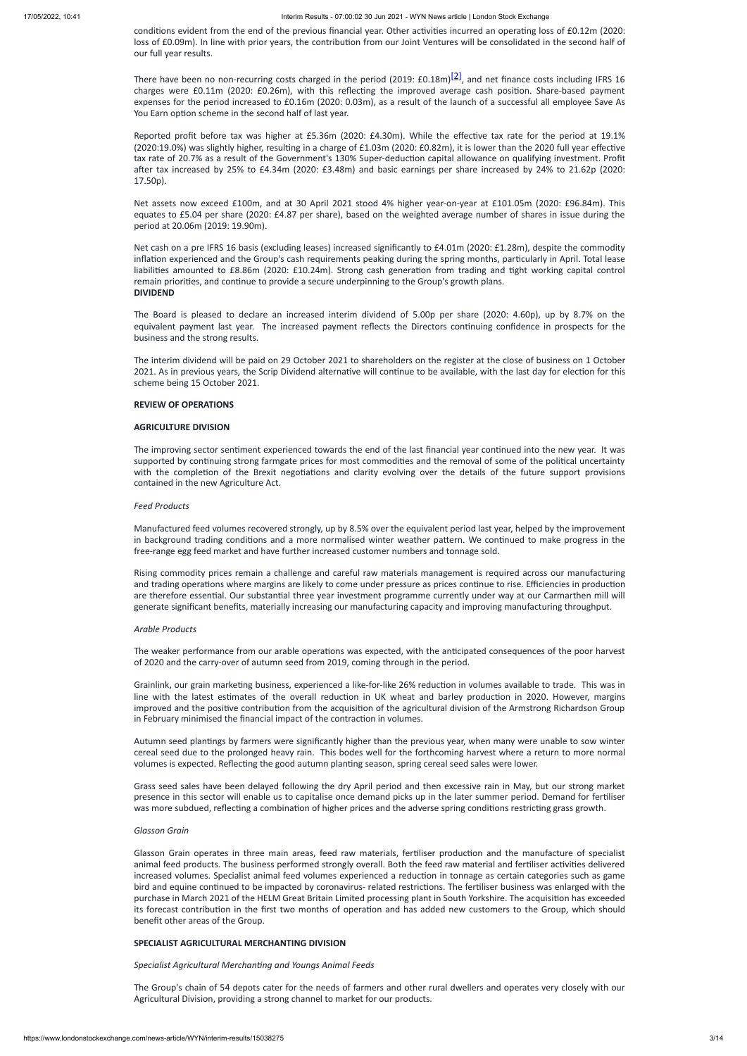conditions evident from the end of the previous financial year. Other activities incurred an operating loss of £0.12m (2020: loss of £0.09m). In line with prior years, the contribution from our Joint Ventures will be consolidated in the second half of our full year results.

There have been no non-recurring costs charged in the period (2019: £0.18m)<sup>[2]</sup>, and net finance costs including IFRS 16 charges were £0.11m (2020: £0.26m), with this reflecting the improved average cash position. Share-based payment expenses for the period increased to £0.16m (2020: 0.03m), as a result of the launch of a successful all employee Save As You Earn option scheme in the second half of last year.

Reported profit before tax was higher at £5.36m (2020: £4.30m). While the effective tax rate for the period at 19.1% (2020:19.0%) was slightly higher, resulting in a charge of £1.03m (2020: £0.82m), it is lower than the 2020 full year effective tax rate of 20.7% as a result of the Government's 130% Super-deduction capital allowance on qualifying investment. Profit after tax increased by 25% to £4.34m (2020: £3.48m) and basic earnings per share increased by 24% to 21.62p (2020: 17.50p).

Net assets now exceed £100m, and at 30 April 2021 stood 4% higher year-on-year at £101.05m (2020: £96.84m). This equates to £5.04 per share (2020: £4.87 per share), based on the weighted average number of shares in issue during the period at 20.06m (2019: 19.90m).

Net cash on a pre IFRS 16 basis (excluding leases) increased significantly to £4.01m (2020: £1.28m), despite the commodity inflation experienced and the Group's cash requirements peaking during the spring months, particularly in April. Total lease liabilities amounted to £8.86m (2020: £10.24m). Strong cash generation from trading and tight working capital control remain priorities, and continue to provide a secure underpinning to the Group's growth plans. **DIVIDEND**

The Board is pleased to declare an increased interim dividend of 5.00p per share (2020: 4.60p), up by 8.7% on the equivalent payment last year. The increased payment reflects the Directors continuing confidence in prospects for the business and the strong results.

The interim dividend will be paid on 29 October 2021 to shareholders on the register at the close of business on 1 October 2021. As in previous years, the Scrip Dividend alternative will continue to be available, with the last day for election for this scheme being 15 October 2021.

### **REVIEW OF OPERATIONS**

### **AGRICULTURE DIVISION**

The improving sector sentiment experienced towards the end of the last financial year continued into the new year. It was supported by continuing strong farmgate prices for most commodities and the removal of some of the political uncertainty with the completion of the Brexit negotiations and clarity evolving over the details of the future support provisions contained in the new Agriculture Act.

### *Feed Products*

Manufactured feed volumes recovered strongly, up by 8.5% over the equivalent period last year, helped by the improvement in background trading conditions and a more normalised winter weather pattern. We continued to make progress in the free-range egg feed market and have further increased customer numbers and tonnage sold.

Rising commodity prices remain a challenge and careful raw materials management is required across our manufacturing and trading operations where margins are likely to come under pressure as prices continue to rise. Efficiencies in production are therefore essential. Our substantial three year investment programme currently under way at our Carmarthen mill will generate significant benefits, materially increasing our manufacturing capacity and improving manufacturing throughput.

#### *Arable Products*

The weaker performance from our arable operations was expected, with the anticipated consequences of the poor harvest of 2020 and the carry-over of autumn seed from 2019, coming through in the period.

Grainlink, our grain marketing business, experienced a like-for-like 26% reduction in volumes available to trade. This was in line with the latest estimates of the overall reduction in UK wheat and barley production in 2020. However, margins improved and the positive contribution from the acquisition of the agricultural division of the Armstrong Richardson Group in February minimised the financial impact of the contraction in volumes.

Autumn seed plantings by farmers were significantly higher than the previous year, when many were unable to sow winter cereal seed due to the prolonged heavy rain. This bodes well for the forthcoming harvest where a return to more normal volumes is expected. Reflecting the good autumn planting season, spring cereal seed sales were lower.

Grass seed sales have been delayed following the dry April period and then excessive rain in May, but our strong market presence in this sector will enable us to capitalise once demand picks up in the later summer period. Demand for fertiliser was more subdued, reflecting a combination of higher prices and the adverse spring conditions restricting grass growth.

## *Glasson Grain*

Glasson Grain operates in three main areas, feed raw materials, fertiliser production and the manufacture of specialist animal feed products. The business performed strongly overall. Both the feed raw material and fertiliser activities delivered increased volumes. Specialist animal feed volumes experienced a reduction in tonnage as certain categories such as game bird and equine continued to be impacted by coronavirus- related restrictions. The fertiliser business was enlarged with the purchase in March 2021 of the HELM Great Britain Limited processing plant in South Yorkshire. The acquisition has exceeded its forecast contribution in the first two months of operation and has added new customers to the Group, which should benefit other areas of the Group.

# **SPECIALIST AGRICULTURAL MERCHANTING DIVISION**

*Specialist Agricultural Merchanting and Youngs Animal Feeds*

The Group's chain of 54 depots cater for the needs of farmers and other rural dwellers and operates very closely with our Agricultural Division, providing a strong channel to market for our products.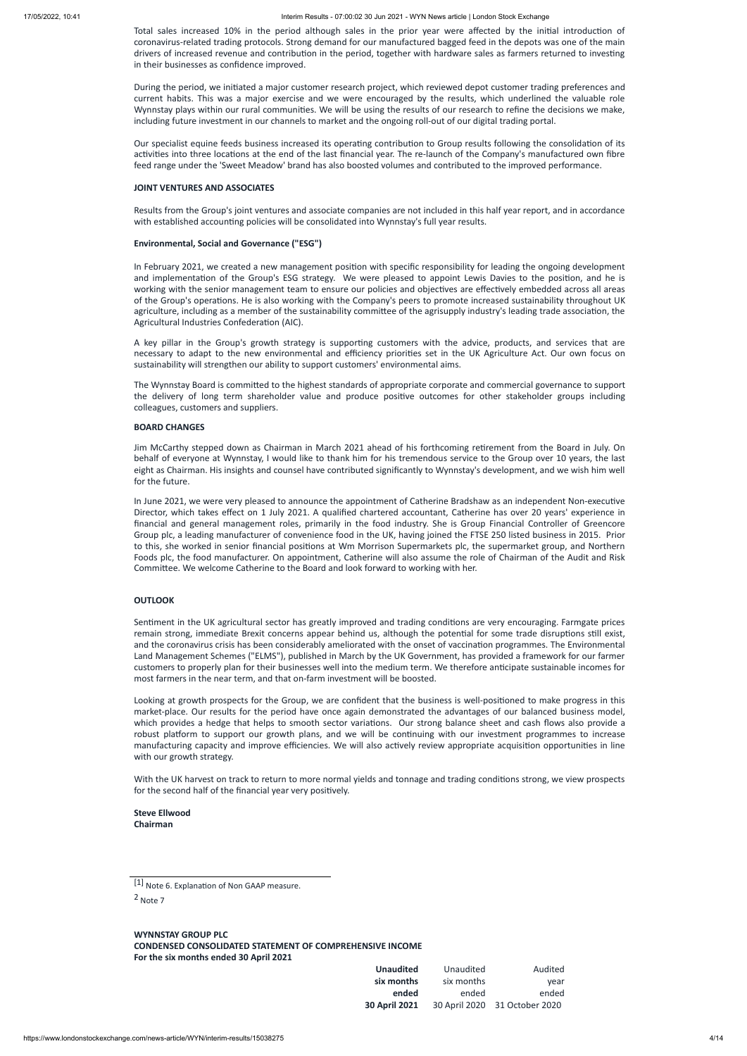Total sales increased 10% in the period although sales in the prior year were affected by the initial introduction of coronavirus-related trading protocols. Strong demand for our manufactured bagged feed in the depots was one of the main drivers of increased revenue and contribution in the period, together with hardware sales as farmers returned to investing in their businesses as confidence improved.

During the period, we initiated a major customer research project, which reviewed depot customer trading preferences and current habits. This was a major exercise and we were encouraged by the results, which underlined the valuable role Wynnstay plays within our rural communities. We will be using the results of our research to refine the decisions we make, including future investment in our channels to market and the ongoing roll-out of our digital trading portal.

Our specialist equine feeds business increased its operating contribution to Group results following the consolidation of its activities into three locations at the end of the last financial year. The re-launch of the Company's manufactured own fibre feed range under the 'Sweet Meadow' brand has also boosted volumes and contributed to the improved performance.

### **JOINT VENTURES AND ASSOCIATES**

Results from the Group's joint ventures and associate companies are not included in this half year report, and in accordance with established accounting policies will be consolidated into Wynnstay's full year results.

## **Environmental, Social and Governance ("ESG")**

In February 2021, we created a new management position with specific responsibility for leading the ongoing development and implementation of the Group's ESG strategy. We were pleased to appoint Lewis Davies to the position, and he is working with the senior management team to ensure our policies and objectives are effectively embedded across all areas of the Group's operations. He is also working with the Company's peers to promote increased sustainability throughout UK agriculture, including as a member of the sustainability committee of the agrisupply industry's leading trade association, the Agricultural Industries Confederation (AIC).

A key pillar in the Group's growth strategy is supporting customers with the advice, products, and services that are necessary to adapt to the new environmental and efficiency priorities set in the UK Agriculture Act. Our own focus on sustainability will strengthen our ability to support customers' environmental aims.

The Wynnstay Board is committed to the highest standards of appropriate corporate and commercial governance to support the delivery of long term shareholder value and produce positive outcomes for other stakeholder groups including colleagues, customers and suppliers.

[1] Note 6. Explanation of Non GAAP measure. <sup>2</sup> Note <sup>7</sup>

# **BOARD CHANGES**

Jim McCarthy stepped down as Chairman in March 2021 ahead of his forthcoming retirement from the Board in July. On behalf of everyone at Wynnstay, I would like to thank him for his tremendous service to the Group over 10 years, the last eight as Chairman. His insights and counsel have contributed significantly to Wynnstay's development, and we wish him well for the future.

In June 2021, we were very pleased to announce the appointment of Catherine Bradshaw as an independent Non-executive Director, which takes effect on 1 July 2021. A qualified chartered accountant, Catherine has over 20 years' experience in financial and general management roles, primarily in the food industry. She is Group Financial Controller of Greencore Group plc, a leading manufacturer of convenience food in the UK, having joined the FTSE 250 listed business in 2015. Prior to this, she worked in senior financial positions at Wm Morrison Supermarkets plc, the supermarket group, and Northern Foods plc, the food manufacturer. On appointment, Catherine will also assume the role of Chairman of the Audit and Risk Committee. We welcome Catherine to the Board and look forward to working with her.

## **OUTLOOK**

Sentiment in the UK agricultural sector has greatly improved and trading conditions are very encouraging. Farmgate prices remain strong, immediate Brexit concerns appear behind us, although the potential for some trade disruptions still exist, and the coronavirus crisis has been considerably ameliorated with the onset of vaccination programmes. The Environmental Land Management Schemes ("ELMS"), published in March by the UK Government, has provided a framework for our farmer customers to properly plan for their businesses well into the medium term. We therefore anticipate sustainable incomes for most farmers in the near term, and that on-farm investment will be boosted.

Looking at growth prospects for the Group, we are confident that the business is well-positioned to make progress in this market-place. Our results for the period have once again demonstrated the advantages of our balanced business model, which provides a hedge that helps to smooth sector variations. Our strong balance sheet and cash flows also provide a robust platform to support our growth plans, and we will be continuing with our investment programmes to increase manufacturing capacity and improve efficiencies. We will also actively review appropriate acquisition opportunities in line with our growth strategy.

With the UK harvest on track to return to more normal yields and tonnage and trading conditions strong, we view prospects for the second half of the financial year very positively.

**Steve Ellwood Chairman**

# **WYNNSTAY GROUP PLC CONDENSED CONSOLIDATED STATEMENT OF COMPREHENSIVE INCOME For the six months ended 30 April 2021**

| <b>Unaudited</b>     | Unaudited  | Audited                       |
|----------------------|------------|-------------------------------|
| six months           | six months | year                          |
| ended                | ended      | ended                         |
| <b>30 April 2021</b> |            | 30 April 2020 31 October 2020 |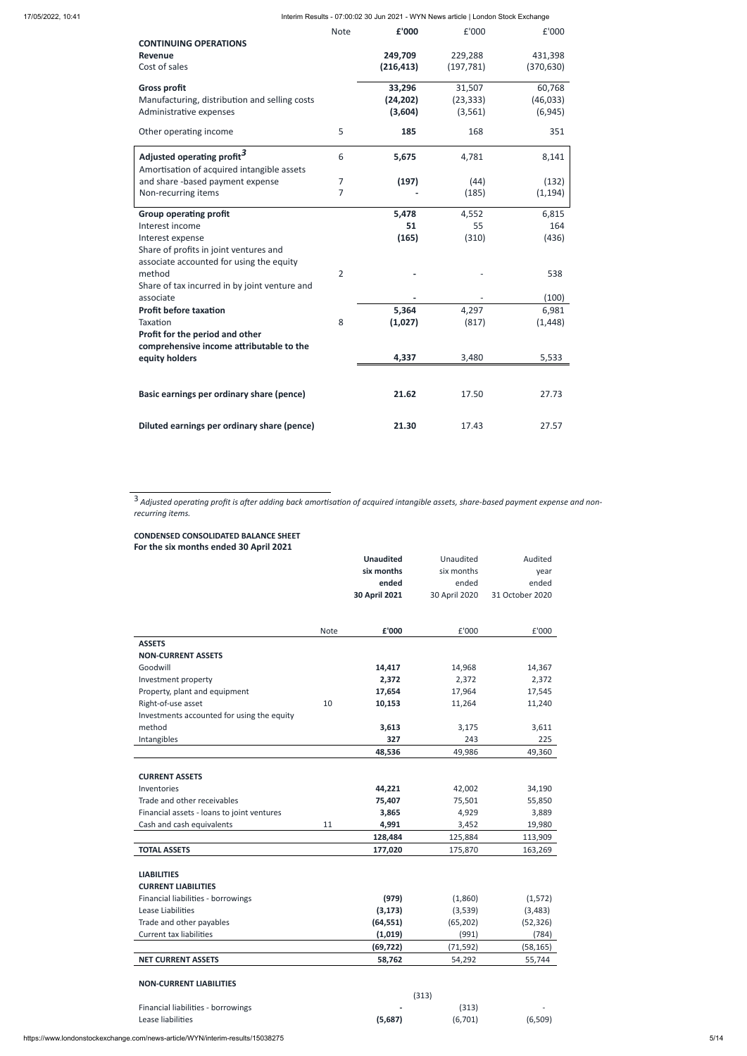<sup>3</sup> Adjusted operating profit is after adding back amortisation of acquired intangible assets, share-based payment expense and non*recurring items.*

|                                               | <b>Note</b>    | £'000      | £'000      | £'000      |
|-----------------------------------------------|----------------|------------|------------|------------|
| <b>CONTINUING OPERATIONS</b>                  |                |            |            |            |
| <b>Revenue</b>                                |                | 249,709    | 229,288    | 431,398    |
| Cost of sales                                 |                | (216, 413) | (197, 781) | (370, 630) |
| <b>Gross profit</b>                           |                | 33,296     | 31,507     | 60,768     |
| Manufacturing, distribution and selling costs |                | (24, 202)  | (23, 333)  | (46, 033)  |
| Administrative expenses                       |                | (3,604)    | (3, 561)   | (6, 945)   |
| Other operating income                        | 5              | 185        | 168        | 351        |
| Adjusted operating profit <sup>3</sup>        | 6              | 5,675      | 4,781      | 8,141      |
| Amortisation of acquired intangible assets    |                |            |            |            |
| and share -based payment expense              | $\overline{7}$ | (197)      | (44)       | (132)      |
| Non-recurring items                           | $\overline{7}$ |            | (185)      | (1, 194)   |
|                                               |                |            |            |            |
| <b>Group operating profit</b>                 |                | 5,478      | 4,552      | 6,815      |
| Interest income                               |                | 51         | 55         | 164        |
| Interest expense                              |                | (165)      | (310)      | (436)      |
| Share of profits in joint ventures and        |                |            |            |            |
| associate accounted for using the equity      |                |            |            |            |
| method                                        | $\overline{2}$ |            |            | 538        |
| Share of tax incurred in by joint venture and |                |            |            |            |
| associate                                     |                |            |            | (100)      |
| <b>Profit before taxation</b>                 |                | 5,364      | 4,297      | 6,981      |
| Taxation                                      | 8              | (1,027)    | (817)      | (1, 448)   |
| Profit for the period and other               |                |            |            |            |
| comprehensive income attributable to the      |                |            |            |            |
| equity holders                                |                | 4,337      | 3,480      | 5,533      |
|                                               |                |            |            |            |
| Basic earnings per ordinary share (pence)     |                | 21.62      | 17.50      | 27.73      |
|                                               |                |            |            |            |
| Diluted earnings per ordinary share (pence)   |                | 21.30      | 17.43      | 27.57      |

# **CONDENSED CONSOLIDATED BALANCE SHEET For the six months ended 30 April 2021**

|                                                  | <b>Unaudited</b> |                          | Unaudited     | Audited         |
|--------------------------------------------------|------------------|--------------------------|---------------|-----------------|
|                                                  |                  | six months<br>six months |               | year            |
|                                                  | ended            |                          | ended         | ended           |
|                                                  |                  | 30 April 2021            | 30 April 2020 | 31 October 2020 |
|                                                  | Note             | £'000                    | £'000         | £'000           |
| <b>ASSETS</b>                                    |                  |                          |               |                 |
| <b>NON-CURRENT ASSETS</b>                        |                  |                          |               |                 |
| Goodwill                                         |                  | 14,417                   | 14,968        | 14,367          |
| Investment property                              |                  | 2,372                    | 2,372         | 2,372           |
| Property, plant and equipment                    |                  | 17,654                   | 17,964        | 17,545          |
| Right-of-use asset                               | 10               | 10,153                   | 11,264        | 11,240          |
| Investments accounted for using the equity       |                  |                          |               |                 |
| method                                           |                  | 3,613                    | 3,175         | 3,611           |
| Intangibles                                      |                  | 327                      | 243           | 225             |
|                                                  |                  | 48,536                   | 49,986        | 49,360          |
|                                                  |                  |                          |               |                 |
| <b>CURRENT ASSETS</b>                            |                  |                          |               |                 |
| Inventories                                      |                  | 44,221                   | 42,002        | 34,190          |
| Trade and other receivables                      |                  | 75,407                   | 75,501        | 55,850          |
| Financial assets - loans to joint ventures       |                  | 3,865                    | 4,929         | 3,889           |
| Cash and cash equivalents                        | 11               | 4,991                    | 3,452         | 19,980          |
|                                                  |                  | 128,484                  | 125,884       | 113,909         |
| <b>TOTAL ASSETS</b>                              |                  | 177,020                  | 175,870       | 163,269         |
|                                                  |                  |                          |               |                 |
| <b>LIABILITIES</b><br><b>CURRENT LIABILITIES</b> |                  |                          |               |                 |
| Financial liabilities - borrowings               |                  | (979)                    | (1,860)       | (1, 572)        |
| Lease Liabilities                                |                  | (3, 173)                 | (3,539)       | (3, 483)        |
| Trade and other payables                         |                  | (64, 551)                | (65, 202)     | (52, 326)       |
| <b>Current tax liabilities</b>                   |                  | (1,019)                  | (991)         | (784)           |
|                                                  |                  | (69, 722)                | (71, 592)     | (58, 165)       |
| <b>NET CURRENT ASSETS</b>                        |                  | 58,762                   | 54,292        | 55,744          |
|                                                  |                  |                          |               |                 |
| <b>NON-CURRENT LIABILITIES</b>                   |                  |                          |               |                 |
|                                                  |                  |                          | (313)         |                 |
| Financial liabilities - borrowings               |                  |                          | (313)         |                 |
| Lease liabilities                                |                  | (5,687)                  | (6,701)       | (6, 509)        |

https://www.londonstockexchange.com/news-article/WYN/interim-results/15038275 5/14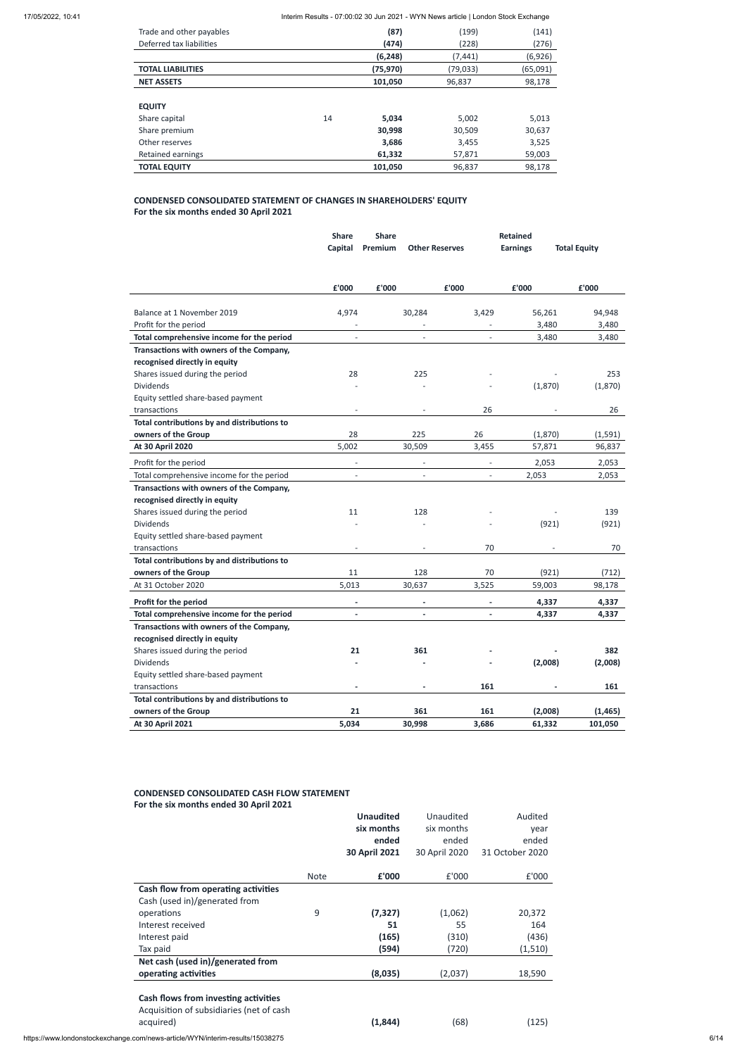| Trade and other payables |    | (87)      | (199)     | (141)    |
|--------------------------|----|-----------|-----------|----------|
| Deferred tax liabilities |    | (474)     | (228)     | (276)    |
|                          |    | (6, 248)  | (7,441)   | (6,926)  |
| <b>TOTAL LIABILITIES</b> |    | (75, 970) | (79, 033) | (65,091) |
| <b>NET ASSETS</b>        |    | 101,050   | 96,837    | 98,178   |
|                          |    |           |           |          |
| <b>EQUITY</b>            |    |           |           |          |
| Share capital            | 14 | 5,034     | 5,002     | 5,013    |
| Share premium            |    | 30,998    | 30,509    | 30,637   |
| Other reserves           |    | 3,686     | 3,455     | 3,525    |
| Retained earnings        |    | 61,332    | 57,871    | 59,003   |
| <b>TOTAL EQUITY</b>      |    | 101,050   | 96,837    | 98,178   |

# **CONDENSED CONSOLIDATED STATEMENT OF CHANGES IN SHAREHOLDERS' EQUITY For the six months ended 30 April 2021**

|                                                    | <b>Share</b>             | <b>Share</b> |                          |                          | <b>Retained</b> |                     |
|----------------------------------------------------|--------------------------|--------------|--------------------------|--------------------------|-----------------|---------------------|
|                                                    | Capital                  | Premium      |                          | <b>Other Reserves</b>    | <b>Earnings</b> | <b>Total Equity</b> |
|                                                    |                          |              |                          |                          |                 |                     |
|                                                    | £'000                    | £'000        |                          | £'000                    | £'000           | £'000               |
|                                                    |                          |              |                          |                          |                 |                     |
| Balance at 1 November 2019                         | 4,974                    |              | 30,284                   | 3,429                    | 56,261          | 94,948              |
| Profit for the period                              |                          |              |                          |                          | 3,480           | 3,480               |
| Total comprehensive income for the period          |                          |              |                          |                          | 3,480           | 3,480               |
| Transactions with owners of the Company,           |                          |              |                          |                          |                 |                     |
| recognised directly in equity                      |                          |              |                          |                          |                 |                     |
| Shares issued during the period                    | 28                       |              | 225                      |                          |                 | 253                 |
| <b>Dividends</b>                                   |                          |              |                          |                          | (1,870)         | (1,870)             |
| Equity settled share-based payment<br>transactions |                          |              |                          | 26                       |                 | 26                  |
| Total contributions by and distributions to        |                          |              |                          |                          |                 |                     |
| owners of the Group                                | 28                       |              | 225                      | 26                       | (1,870)         | (1, 591)            |
| <b>At 30 April 2020</b>                            | 5,002                    |              | 30,509                   | 3,455                    | 57,871          | 96,837              |
|                                                    |                          |              |                          |                          |                 |                     |
| Profit for the period                              |                          |              |                          |                          | 2,053           | 2,053               |
| Total comprehensive income for the period          |                          |              | $\overline{\phantom{a}}$ | $\overline{\phantom{a}}$ | 2,053           | 2,053               |
| Transactions with owners of the Company,           |                          |              |                          |                          |                 |                     |
| recognised directly in equity                      |                          |              |                          |                          |                 |                     |
| Shares issued during the period                    | 11                       |              | 128                      |                          |                 | 139                 |
| <b>Dividends</b>                                   |                          |              |                          |                          | (921)           | (921)               |
| Equity settled share-based payment                 |                          |              |                          |                          |                 |                     |
| transactions                                       |                          |              |                          | 70                       |                 | 70                  |
| Total contributions by and distributions to        |                          |              |                          |                          |                 |                     |
| owners of the Group                                | 11                       |              | 128                      | 70                       | (921)           | (712)               |
| At 31 October 2020                                 | 5,013                    |              | 30,637                   | 3,525                    | 59,003          | 98,178              |
| Profit for the period                              |                          |              | $\overline{\phantom{a}}$ | $\blacksquare$           | 4,337           | 4,337               |
| Total comprehensive income for the period          | $\overline{\phantom{a}}$ |              | $\overline{\phantom{a}}$ | $\overline{\phantom{a}}$ | 4,337           | 4,337               |
| Transactions with owners of the Company,           |                          |              |                          |                          |                 |                     |
| recognised directly in equity                      |                          |              |                          |                          |                 |                     |
| Shares issued during the period                    | 21                       |              | 361                      |                          |                 | 382                 |
| <b>Dividends</b>                                   |                          |              |                          |                          | (2,008)         | (2,008)             |
| Equity settled share-based payment                 |                          |              |                          |                          |                 |                     |
| transactions                                       |                          |              |                          | 161                      |                 | 161                 |
| Total contributions by and distributions to        |                          |              |                          |                          |                 |                     |
| owners of the Group                                | 21                       |              | 361                      | 161                      | (2,008)         | (1, 465)            |
| At 30 April 2021                                   | 5,034                    |              | 30,998                   | 3,686                    | 61,332          | 101,050             |

# **For the six months ended 30 April 2021**

|                                     |             | <b>Unaudited</b><br>six months<br>ended<br>30 April 2021 | Unaudited<br>six months<br>ended<br>30 April 2020 | Audited<br>year<br>ended<br>31 October 2020 |
|-------------------------------------|-------------|----------------------------------------------------------|---------------------------------------------------|---------------------------------------------|
|                                     | <b>Note</b> | £'000                                                    | £'000                                             | £'000                                       |
| Cash flow from operating activities |             |                                                          |                                                   |                                             |
| Cash (used in)/generated from       |             |                                                          |                                                   |                                             |
| operations                          | 9           | (7, 327)                                                 | (1,062)                                           | 20,372                                      |
| Interest received                   |             | 51                                                       | 55                                                | 164                                         |
| Interest paid                       |             | (165)                                                    | (310)                                             | (436)                                       |
| Tax paid                            |             | (594)                                                    | (720)                                             | (1, 510)                                    |
| Net cash (used in)/generated from   |             |                                                          |                                                   |                                             |
| operating activities                |             | (8,035)                                                  | (2,037)                                           | 18,590                                      |

# **Cash flows from investing activities**

Acquisition of subsidiaries (net of cash

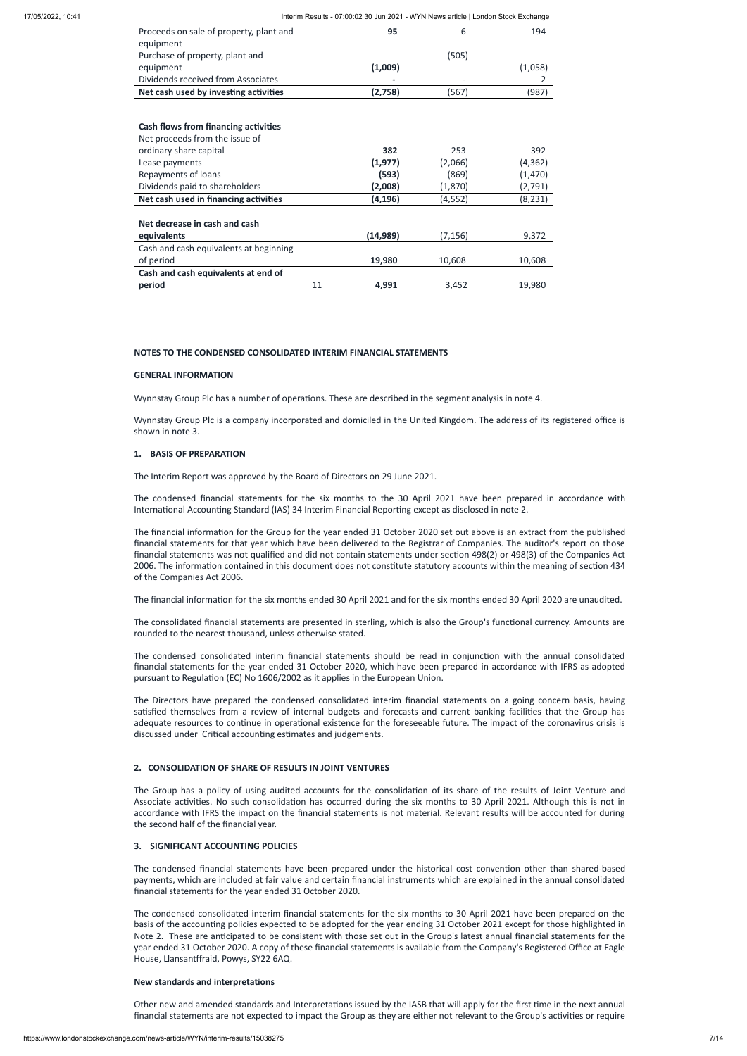|                                             |    |           | 07.00.02 00 0011 202 1 WITH NOWS GROOD   LONGON CROOK LAONGHOU |          |
|---------------------------------------------|----|-----------|----------------------------------------------------------------|----------|
| Proceeds on sale of property, plant and     |    | 95        | 6                                                              | 194      |
| equipment                                   |    |           |                                                                |          |
| Purchase of property, plant and             |    |           | (505)                                                          |          |
| equipment                                   |    | (1,009)   |                                                                | (1,058)  |
| Dividends received from Associates          |    |           |                                                                | 2        |
| Net cash used by investing activities       |    | (2,758)   | (567)                                                          | (987)    |
|                                             |    |           |                                                                |          |
| <b>Cash flows from financing activities</b> |    |           |                                                                |          |
| Net proceeds from the issue of              |    |           |                                                                |          |
| ordinary share capital                      |    | 382       | 253                                                            | 392      |
| Lease payments                              |    | (1, 977)  | (2,066)                                                        | (4, 362) |
| Repayments of loans                         |    | (593)     | (869)                                                          | (1,470)  |
| Dividends paid to shareholders              |    | (2,008)   | (1,870)                                                        | (2,791)  |
| Net cash used in financing activities       |    | (4, 196)  | (4, 552)                                                       | (8, 231) |
| Net decrease in cash and cash               |    |           |                                                                |          |
| equivalents                                 |    | (14, 989) | (7, 156)                                                       | 9,372    |
| Cash and cash equivalents at beginning      |    |           |                                                                |          |
| of period                                   |    | 19,980    | 10,608                                                         | 10,608   |
| Cash and cash equivalents at end of         |    |           |                                                                |          |
| period                                      | 11 | 4,991     | 3,452                                                          | 19,980   |

### **NOTES TO THE CONDENSED CONSOLIDATED INTERIM FINANCIAL STATEMENTS**

## **GENERAL INFORMATION**

Wynnstay Group Plc has a number of operations. These are described in the segment analysis in note 4.

Wynnstay Group Plc is a company incorporated and domiciled in the United Kingdom. The address of its registered office is shown in note 3.

# **1. BASIS OF PREPARATION**

The Interim Report was approved by the Board of Directors on 29 June 2021.

The condensed financial statements for the six months to the 30 April 2021 have been prepared in accordance with International Accounting Standard (IAS) 34 Interim Financial Reporting except as disclosed in note 2.

The financial information for the Group for the year ended 31 October 2020 set out above is an extract from the published financial statements for that year which have been delivered to the Registrar of Companies. The auditor's report on those financial statements was not qualified and did not contain statements under section 498(2) or 498(3) of the Companies Act 2006. The information contained in this document does not constitute statutory accounts within the meaning of section 434 of the Companies Act 2006.

The financial information for the six months ended 30 April 2021 and for the six months ended 30 April 2020 are unaudited.

The consolidated financial statements are presented in sterling, which is also the Group's functional currency. Amounts are rounded to the nearest thousand, unless otherwise stated.

The condensed consolidated interim financial statements should be read in conjunction with the annual consolidated financial statements for the year ended 31 October 2020, which have been prepared in accordance with IFRS as adopted pursuant to Regulation (EC) No 1606/2002 as it applies in the European Union.

The Directors have prepared the condensed consolidated interim financial statements on a going concern basis, having satisfied themselves from a review of internal budgets and forecasts and current banking facilities that the Group has adequate resources to continue in operational existence for the foreseeable future. The impact of the coronavirus crisis is discussed under 'Critical accounting estimates and judgements.

# **2. CONSOLIDATION OF SHARE OF RESULTS IN JOINT VENTURES**

The Group has a policy of using audited accounts for the consolidation of its share of the results of Joint Venture and

Associate activities. No such consolidation has occurred during the six months to 30 April 2021. Although this is not in accordance with IFRS the impact on the financial statements is not material. Relevant results will be accounted for during the second half of the financial year.

# **3. SIGNIFICANT ACCOUNTING POLICIES**

The condensed financial statements have been prepared under the historical cost convention other than shared-based payments, which are included at fair value and certain financial instruments which are explained in the annual consolidated financial statements for the year ended 31 October 2020.

The condensed consolidated interim financial statements for the six months to 30 April 2021 have been prepared on the basis of the accounting policies expected to be adopted for the year ending 31 October 2021 except for those highlighted in Note 2. These are anticipated to be consistent with those set out in the Group's latest annual financial statements for the year ended 31 October 2020. A copy of these financial statements is available from the Company's Registered Office at Eagle House, Llansantffraid, Powys, SY22 6AQ.

### **New standards and interpretations**

Other new and amended standards and Interpretations issued by the IASB that will apply for the first time in the next annual financial statements are not expected to impact the Group as they are either not relevant to the Group's activities or require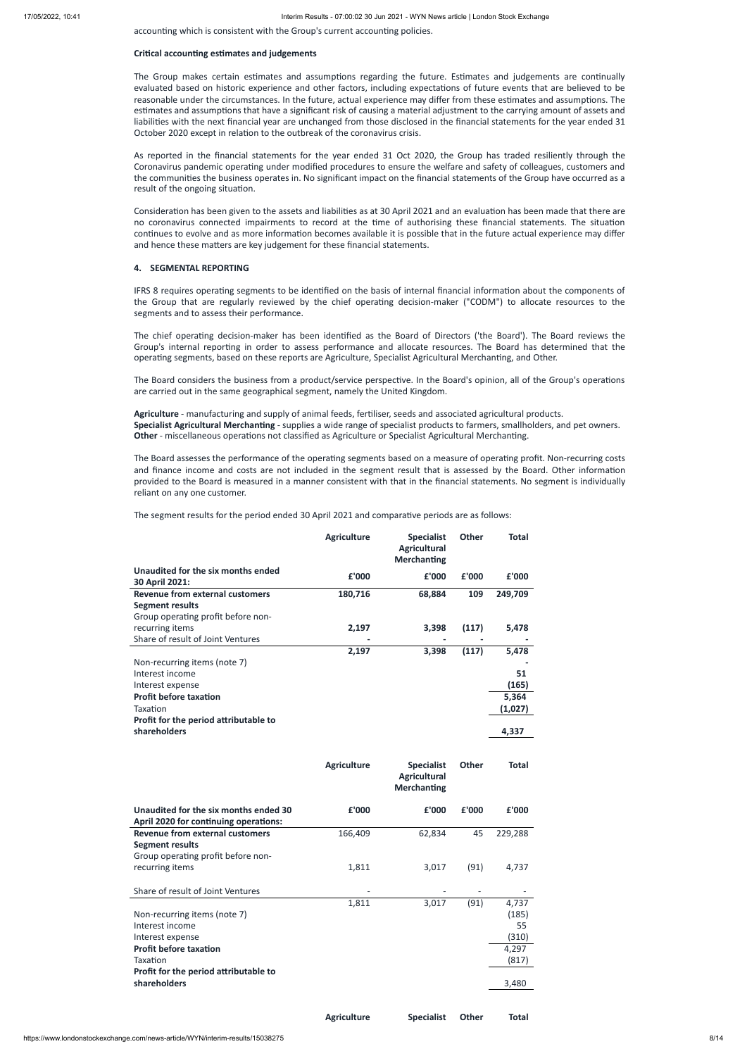accounting which is consistent with the Group's current accounting policies.

#### **Critical accounting estimates and judgements**

The Group makes certain estimates and assumptions regarding the future. Estimates and judgements are continually evaluated based on historic experience and other factors, including expectations of future events that are believed to be reasonable under the circumstances. In the future, actual experience may differ from these estimates and assumptions. The estimates and assumptions that have a significant risk of causing a material adjustment to the carrying amount of assets and liabilities with the next financial year are unchanged from those disclosed in the financial statements for the year ended 31 October 2020 except in relation to the outbreak of the coronavirus crisis.

As reported in the financial statements for the year ended 31 Oct 2020, the Group has traded resiliently through the Coronavirus pandemic operating under modified procedures to ensure the welfare and safety of colleagues, customers and the communities the business operates in. No significant impact on the financial statements of the Group have occurred as a result of the ongoing situation.

Consideration has been given to the assets and liabilities as at 30 April 2021 and an evaluation has been made that there are no coronavirus connected impairments to record at the time of authorising these financial statements. The situation continues to evolve and as more information becomes available it is possible that in the future actual experience may differ and hence these matters are key judgement for these financial statements.

# **4. SEGMENTAL REPORTING**

IFRS 8 requires operating segments to be identified on the basis of internal financial information about the components of the Group that are regularly reviewed by the chief operating decision-maker ("CODM") to allocate resources to the segments and to assess their performance.

> **Agriculture Agricultural Merchanting Other Total**

The chief operating decision-maker has been identified as the Board of Directors ('the Board'). The Board reviews the Group's internal reporting in order to assess performance and allocate resources. The Board has determined that the operating segments, based on these reports are Agriculture, Specialist Agricultural Merchanting, and Other.

The Board considers the business from a product/service perspective. In the Board's opinion, all of the Group's operations are carried out in the same geographical segment, namely the United Kingdom.

**Agriculture** - manufacturing and supply of animal feeds, fertiliser, seeds and associated agricultural products. **Specialist Agricultural Merchanting** - supplies a wide range of specialist products to farmers, smallholders, and pet owners. **Other** - miscellaneous operations not classified as Agriculture or Specialist Agricultural Merchanting.

The Board assesses the performance of the operating segments based on a measure of operating profit. Non-recurring costs and finance income and costs are not included in the segment result that is assessed by the Board. Other information provided to the Board is measured in a manner consistent with that in the financial statements. No segment is individually reliant on any one customer.

The segment results for the period ended 30 April 2021 and comparative periods are as follows:

|                                                      | <b>Agriculture</b> | <b>Specialist</b><br><b>Agricultural</b><br><b>Merchanting</b> | <b>Other</b> | <b>Total</b> |
|------------------------------------------------------|--------------------|----------------------------------------------------------------|--------------|--------------|
| Unaudited for the six months ended<br>30 April 2021: | £'000              | £'000                                                          | £'000        | £'000        |
| <b>Revenue from external customers</b>               | 180,716            | 68,884                                                         | 109          | 249,709      |
| <b>Segment results</b>                               |                    |                                                                |              |              |
| Group operating profit before non-                   |                    |                                                                |              |              |
| recurring items                                      | 2,197              | 3,398                                                          | (117)        | 5,478        |
| Share of result of Joint Ventures                    |                    |                                                                |              |              |
|                                                      | 2,197              | 3,398                                                          | (117)        | 5,478        |
| Non-recurring items (note 7)                         |                    |                                                                |              |              |
| Interest income                                      |                    |                                                                |              | 51           |
| Interest expense                                     |                    |                                                                |              | (165)        |
| <b>Profit before taxation</b>                        |                    |                                                                |              | 5,364        |
| Taxation                                             |                    |                                                                |              | (1,027)      |
| Profit for the period attributable to                |                    |                                                                |              |              |
| shareholders                                         |                    |                                                                |              | 4,337        |
|                                                      |                    |                                                                |              |              |

| Unaudited for the six months ended 30<br>April 2020 for continuing operations: | £'000   | £'000  | £'000 | £'000   |
|--------------------------------------------------------------------------------|---------|--------|-------|---------|
| <b>Revenue from external customers</b>                                         | 166,409 | 62,834 | 45    | 229,288 |
| <b>Segment results</b>                                                         |         |        |       |         |
| Group operating profit before non-                                             |         |        |       |         |
| recurring items                                                                | 1,811   | 3,017  | (91)  | 4,737   |
|                                                                                |         |        |       |         |
| Share of result of Joint Ventures                                              |         |        |       |         |
|                                                                                | 1,811   | 3,017  | (91)  | 4,737   |
| Non-recurring items (note 7)                                                   |         |        |       | (185)   |
| Interest income                                                                |         |        |       | 55      |
| Interest expense                                                               |         |        |       | (310)   |
| <b>Profit before taxation</b>                                                  |         |        |       | 4,297   |
| Taxation                                                                       |         |        |       | (817)   |
| Profit for the period attributable to                                          |         |        |       |         |
| shareholders                                                                   |         |        |       | 3,480   |
|                                                                                |         |        |       |         |

**Agriculture Specialist Other Total**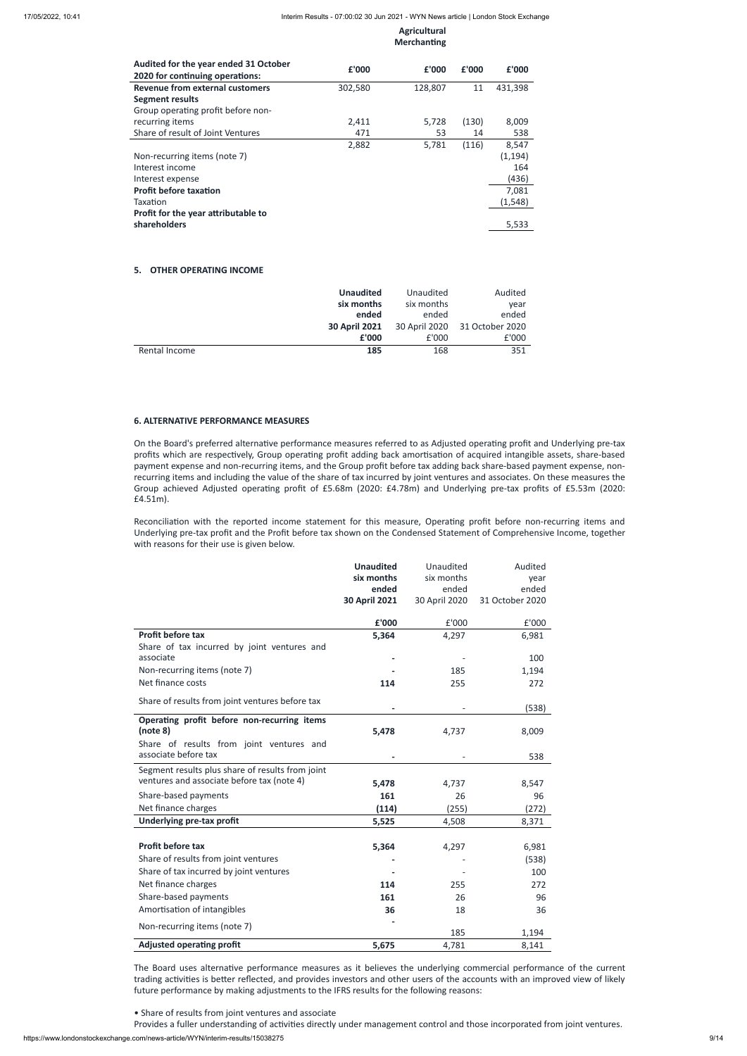**Agricultural Merchanting**

| Audited for the year ended 31 October<br>2020 for continuing operations: | £'000   | £'000   | £'000 | £'000    |
|--------------------------------------------------------------------------|---------|---------|-------|----------|
| <b>Revenue from external customers</b>                                   | 302,580 | 128,807 | 11    | 431,398  |
| Segment results                                                          |         |         |       |          |
| Group operating profit before non-                                       |         |         |       |          |
| recurring items                                                          | 2,411   | 5,728   | (130) | 8,009    |
| Share of result of Joint Ventures                                        | 471     | 53      | 14    | 538      |
|                                                                          | 2,882   | 5,781   | (116) | 8,547    |
| Non-recurring items (note 7)                                             |         |         |       | (1, 194) |
| Interest income                                                          |         |         |       | 164      |
| Interest expense                                                         |         |         |       | (436)    |
| <b>Profit before taxation</b>                                            |         |         |       | 7,081    |
| Taxation                                                                 |         |         |       | (1, 548) |
| Profit for the year attributable to                                      |         |         |       |          |
| shareholders                                                             |         |         |       | 5,533    |

## **5. OTHER OPERATING INCOME**

|               | <b>Unaudited</b>     | Unaudited  | Audited                       |
|---------------|----------------------|------------|-------------------------------|
|               | six months           | six months | vear                          |
|               | ended                | ended      | ended                         |
|               | <b>30 April 2021</b> |            | 30 April 2020 31 October 2020 |
|               | £'000                | £'000      | £'000                         |
| Rental Income | 185                  | 168        | 351                           |

# **6. ALTERNATIVE PERFORMANCE MEASURES**

On the Board's preferred alternative performance measures referred to as Adjusted operating profit and Underlying pre-tax profits which are respectively, Group operating profit adding back amortisation of acquired intangible assets, share-based payment expense and non-recurring items, and the Group profit before tax adding back share-based payment expense, nonrecurring items and including the value of the share of tax incurred by joint ventures and associates. On these measures the Group achieved Adjusted operating profit of £5.68m (2020: £4.78m) and Underlying pre-tax profits of £5.53m (2020: £4.51m).

Reconciliation with the reported income statement for this measure, Operating profit before non-recurring items and Underlying pre-tax profit and the Profit before tax shown on the Condensed Statement of Comprehensive Income, together with reasons for their use is given below.

|                                                  | <b>Unaudited</b> | Unaudited     | Audited         |
|--------------------------------------------------|------------------|---------------|-----------------|
|                                                  | six months       | six months    | year            |
|                                                  | ended            | ended         | ended           |
|                                                  | 30 April 2021    | 30 April 2020 | 31 October 2020 |
|                                                  | £'000            | £'000         | £'000           |
| Profit before tax                                | 5,364            | 4,297         | 6,981           |
| Share of tax incurred by joint ventures and      |                  |               |                 |
| associate                                        |                  |               | 100             |
| Non-recurring items (note 7)                     |                  | 185           | 1,194           |
| Net finance costs                                | 114              | 255           | 272             |
| Share of results from joint ventures before tax  |                  |               | (538)           |
| Operating profit before non-recurring items      |                  |               |                 |
| (note 8)                                         | 5,478            | 4,737         | 8,009           |
| Share of results from joint ventures and         |                  |               |                 |
| associate before tax                             |                  |               | 538             |
| Segment results plus share of results from joint |                  |               |                 |
| ventures and associate before tax (note 4)       | 5,478            | 4,737         | 8,547           |
| Share-based payments                             | 161              | 26            | 96              |
| Net finance charges                              | (114)            | (255)         | (272)           |
| <b>Underlying pre-tax profit</b>                 | 5,525            | 4,508         | 8,371           |
|                                                  |                  |               |                 |
| Profit before tax                                | 5,364            | 4,297         | 6,981           |
| Share of results from joint ventures             |                  |               | (538)           |
| Share of tax incurred by joint ventures          |                  |               | 100             |
| Net finance charges                              | 114              | 255           | 272             |
| Share-based payments                             | 161              | 26            | 96              |
| Amortisation of intangibles                      | 36               | 18            | 36              |
| Non-recurring items (note 7)                     |                  | 185           | 1,194           |
| <b>Adjusted operating profit</b>                 | 5,675            | 4,781         | 8,141           |

The Board uses alternative performance measures as it believes the underlying commercial performance of the current trading activities is better reflected, and provides investors and other users of the accounts with an improved view of likely future performance by making adjustments to the IFRS results for the following reasons:

• Share of results from joint ventures and associate

Provides a fuller understanding of activities directly under management control and those incorporated from joint ventures.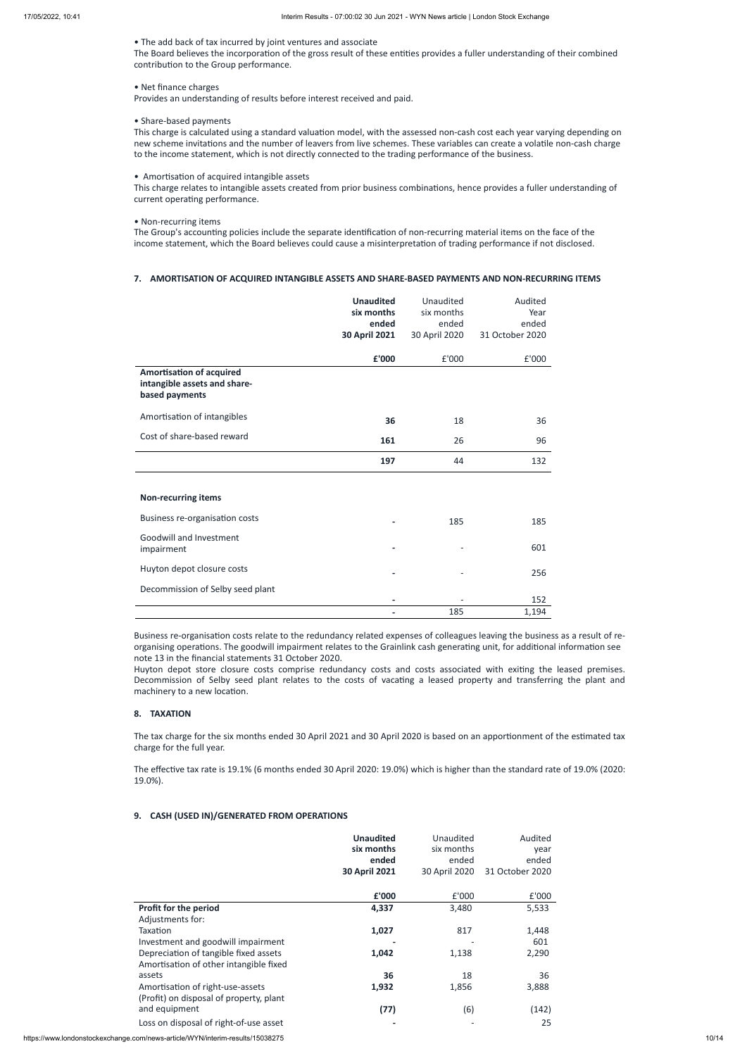# • The add back of tax incurred by joint ventures and associate

The Board believes the incorporation of the gross result of these entities provides a fuller understanding of their combined contribution to the Group performance.

# • Net finance charges

Provides an understanding of results before interest received and paid.

### • Share-based payments

This charge is calculated using a standard valuation model, with the assessed non-cash cost each year varying depending on new scheme invitations and the number of leavers from live schemes. These variables can create a volatile non-cash charge to the income statement, which is not directly connected to the trading performance of the business.

### • Amortisation of acquired intangible assets

This charge relates to intangible assets created from prior business combinations, hence provides a fuller understanding of current operating performance.

### • Non-recurring items

The Group's accounting policies include the separate identification of non-recurring material items on the face of the income statement, which the Board believes could cause a misinterpretation of trading performance if not disclosed.

## **7. AMORTISATION OF ACQUIRED INTANGIBLE ASSETS AND SHARE-BASED PAYMENTS AND NON-RECURRING ITEMS**

|                                                                                   | <b>Unaudited</b><br>six months<br>ended<br>30 April 2021 | Unaudited<br>six months<br>ended<br>30 April 2020 | Audited<br>Year<br>ended<br>31 October 2020 |
|-----------------------------------------------------------------------------------|----------------------------------------------------------|---------------------------------------------------|---------------------------------------------|
|                                                                                   | £'000                                                    | £'000                                             | £'000                                       |
| <b>Amortisation of acquired</b><br>intangible assets and share-<br>based payments |                                                          |                                                   |                                             |
| Amortisation of intangibles                                                       | 36                                                       | 18                                                | 36                                          |
| Cost of share-based reward                                                        | 161                                                      | 26                                                | 96                                          |
|                                                                                   | 197                                                      | 44                                                | 132                                         |
|                                                                                   |                                                          |                                                   |                                             |
| <b>Non-recurring items</b>                                                        |                                                          |                                                   |                                             |
| Business re-organisation costs                                                    |                                                          | 185                                               | 185                                         |
| Goodwill and Investment<br>impairment                                             |                                                          |                                                   | 601                                         |
| Huyton depot closure costs                                                        |                                                          |                                                   | 256                                         |
| Decommission of Selby seed plant                                                  |                                                          |                                                   |                                             |
|                                                                                   | $\qquad \qquad \blacksquare$                             |                                                   | 152                                         |
|                                                                                   | $\overline{\phantom{a}}$                                 | 185                                               | 1,194                                       |

Business re-organisation costs relate to the redundancy related expenses of colleagues leaving the business as a result of reorganising operations. The goodwill impairment relates to the Grainlink cash generating unit, for additional information see note 13 in the financial statements 31 October 2020.

Huyton depot store closure costs comprise redundancy costs and costs associated with exiting the leased premises. Decommission of Selby seed plant relates to the costs of vacating a leased property and transferring the plant and machinery to a new location.

### **8. TAXATION**

The tax charge for the six months ended 30 April 2021 and 30 April 2020 is based on an apportionment of the estimated tax charge for the full year.

The effective tax rate is 19.1% (6 months ended 30 April 2020: 19.0%) which is higher than the standard rate of 19.0% (2020: 19.0%).

# **9. CASH (USED IN)/GENERATED FROM OPERATIONS**

|                                         | <b>Unaudited</b><br>Unaudited<br>six months<br>six months |               | Audited<br>year |
|-----------------------------------------|-----------------------------------------------------------|---------------|-----------------|
|                                         | ended                                                     | ended         | ended           |
|                                         |                                                           |               |                 |
|                                         | 30 April 2021                                             | 30 April 2020 | 31 October 2020 |
|                                         |                                                           |               |                 |
|                                         | £'000                                                     | £'000         | £'000           |
| Profit for the period                   | 4,337                                                     | 3,480         | 5,533           |
| Adjustments for:                        |                                                           |               |                 |
| Taxation                                | 1,027                                                     | 817           | 1,448           |
| Investment and goodwill impairment      |                                                           |               | 601             |
| Depreciation of tangible fixed assets   | 1,042                                                     | 1,138         | 2,290           |
| Amortisation of other intangible fixed  |                                                           |               |                 |
| assets                                  | 36                                                        | 18            | 36              |
| Amortisation of right-use-assets        | 1,932                                                     | 1,856         | 3,888           |
| (Profit) on disposal of property, plant |                                                           |               |                 |
| and equipment                           | (77)                                                      | (6)           | (142)           |
| Loss on disposal of right-of-use asset  |                                                           |               | 25              |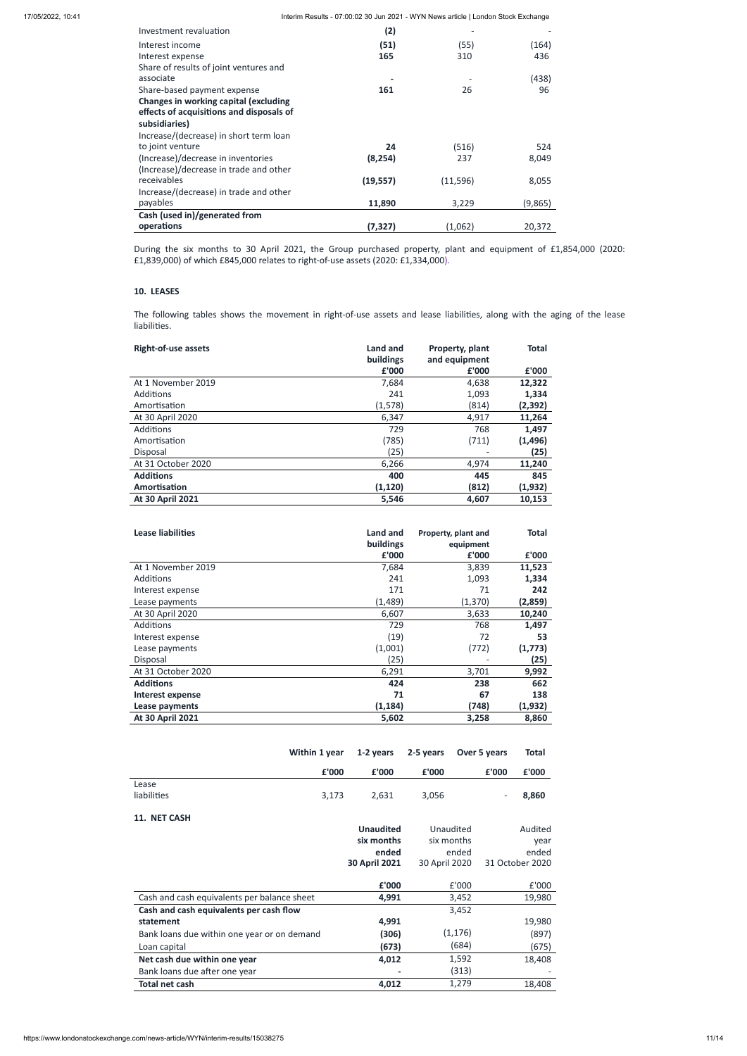| Investment revaluation                       | (2)       |           |         |
|----------------------------------------------|-----------|-----------|---------|
| Interest income                              | (51)      | (55)      | (164)   |
| Interest expense                             | 165       | 310       | 436     |
| Share of results of joint ventures and       |           |           |         |
| associate                                    |           |           | (438)   |
| Share-based payment expense                  | 161       | 26        | 96      |
| <b>Changes in working capital (excluding</b> |           |           |         |
| effects of acquisitions and disposals of     |           |           |         |
| subsidiaries)                                |           |           |         |
| Increase/(decrease) in short term loan       |           |           |         |
| to joint venture                             | 24        | (516)     | 524     |
| (Increase)/decrease in inventories           | (8, 254)  | 237       | 8,049   |
| (Increase)/decrease in trade and other       |           |           |         |
| receivables                                  | (19, 557) | (11, 596) | 8,055   |
| Increase/(decrease) in trade and other       |           |           |         |
| payables                                     | 11,890    | 3,229     | (9,865) |
| Cash (used in)/generated from                |           |           |         |
| operations                                   | (7, 327)  | (1,062)   | 20,372  |

During the six months to 30 April 2021, the Group purchased property, plant and equipment of £1,854,000 (2020: £1,839,000) of which £845,000 relates to right-of-use assets (2020: £1,334,000).

# **10. LEASES**

The following tables shows the movement in right-of-use assets and lease liabilities, along with the aging of the lease liabilities.

| <b>Right-of-use assets</b> | Land and<br>buildings | Property, plant<br>and equipment | <b>Total</b> |
|----------------------------|-----------------------|----------------------------------|--------------|
|                            | £'000                 | £'000                            | £'000        |
| At 1 November 2019         | 7,684                 | 4,638                            | 12,322       |
| Additions                  | 241                   | 1,093                            | 1,334        |
| Amortisation               | (1, 578)              | (814)                            | (2, 392)     |
| At 30 April 2020           | 6,347                 | 4,917                            | 11,264       |
| Additions                  | 729                   | 768                              | 1,497        |
| Amortisation               | (785)                 | (711)                            | (1, 496)     |
| Disposal                   | (25)                  |                                  | (25)         |
| At 31 October 2020         | 6,266                 | 4,974                            | 11,240       |
| <b>Additions</b>           | 400                   | 445                              | 845          |
| Amortisation               | (1, 120)              | (812)                            | (1,932)      |
| <b>At 30 April 2021</b>    | 5,546                 | 4,607                            | 10,153       |

| Lease liabilities       | Land and<br>buildings<br>£'000 | Property, plant and<br>equipment<br>£'000 | <b>Total</b><br>£'000 |
|-------------------------|--------------------------------|-------------------------------------------|-----------------------|
| At 1 November 2019      | 7,684                          | 3,839                                     | 11,523                |
| <b>Additions</b>        | 241                            | 1,093                                     | 1,334                 |
| Interest expense        | 171                            | 71                                        | 242                   |
| Lease payments          | (1,489)                        | (1, 370)                                  | (2,859)               |
| At 30 April 2020        | 6,607                          | 3,633                                     | 10,240                |
| Additions               | 729                            | 768                                       | 1,497                 |
| Interest expense        | (19)                           | 72                                        | 53                    |
| Lease payments          | (1,001)                        | (772)                                     | (1,773)               |
| Disposal                | (25)                           |                                           | (25)                  |
| At 31 October 2020      | 6,291                          | 3,701                                     | 9,992                 |
| <b>Additions</b>        | 424                            | 238                                       | 662                   |
| Interest expense        | 71                             | 67                                        | 138                   |
| Lease payments          | (1, 184)                       | (748)                                     | (1,932)               |
| <b>At 30 April 2021</b> | 5,602                          | 3,258                                     | 8,860                 |

|             | Within 1 year 1-2 years 2-5 years Over 5 years |       |       |       | <b>Total</b> |
|-------------|------------------------------------------------|-------|-------|-------|--------------|
|             | £'000                                          | £'000 | £'000 | £'000 | £'000        |
| Lease       |                                                |       |       |       |              |
| liabilities | 3.173                                          | 2.631 | 3.056 |       | 8.860        |

| 1191111123 |  |
|------------|--|
|------------|--|

|  | 11. NET CASH |
|--|--------------|
|  |              |

| 1. IVLI LAJII                               | <b>Unaudited</b><br>six months<br>ended<br><b>30 April 2021</b> | Unaudited<br>six months<br>ended<br>30 April 2020 | Audited<br>year<br>ended<br>31 October 2020 |
|---------------------------------------------|-----------------------------------------------------------------|---------------------------------------------------|---------------------------------------------|
|                                             | £'000                                                           | £'000                                             | £'000                                       |
| Cash and cash equivalents per balance sheet | 4,991                                                           | 3,452                                             | 19,980                                      |
| Cash and cash equivalents per cash flow     |                                                                 | 3,452                                             |                                             |
| statement                                   | 4,991                                                           |                                                   | 19,980                                      |
| Bank loans due within one year or on demand | (306)                                                           | (1, 176)                                          | (897)                                       |
| Loan capital                                | (673)                                                           | (684)                                             | (675)                                       |
| Net cash due within one year                | 4,012                                                           | 1,592                                             | 18,408                                      |
| Bank loans due after one year               |                                                                 | (313)                                             |                                             |
| <b>Total net cash</b>                       | 4,012                                                           | 1,279                                             | 18,408                                      |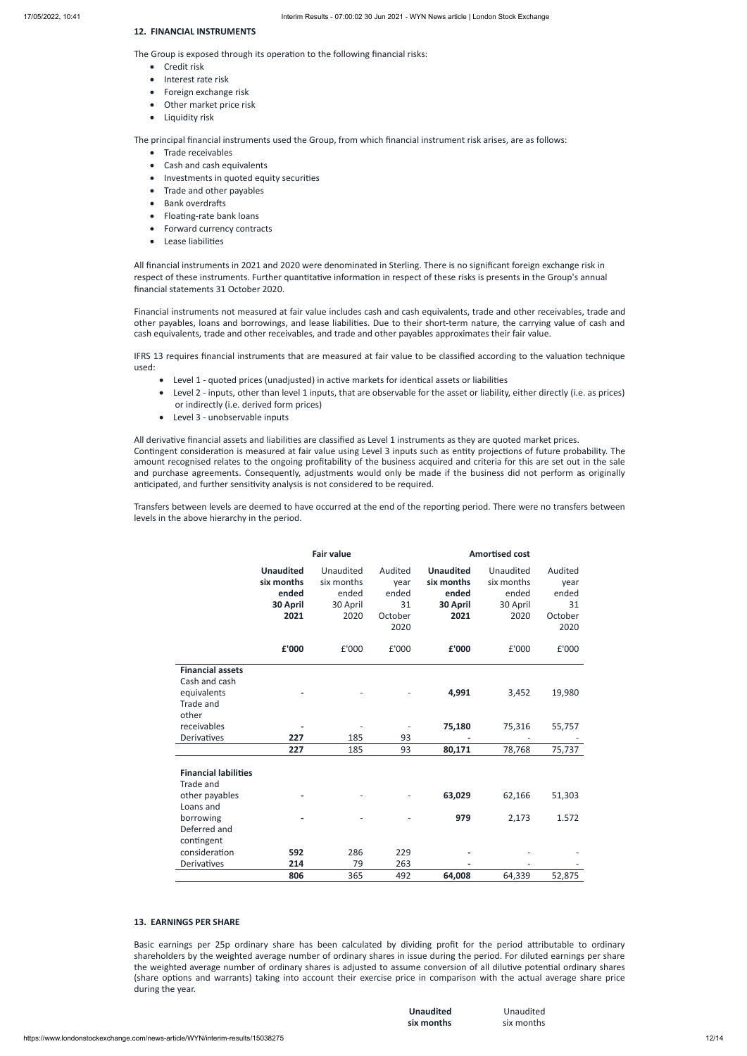# **12. FINANCIAL INSTRUMENTS**

The Group is exposed through its operation to the following financial risks:

- · Credit risk
- · Interest rate risk
- Foreign exchange risk
- · Other market price risk
- · Liquidity risk

The principal financial instruments used the Group, from which financial instrument risk arises, are as follows:

- · Trade receivables
- · Cash and cash equivalents
- · Investments in quoted equity securities
- · Trade and other payables
- · Bank overdrafts
- · Floating-rate bank loans
- · Forward currency contracts
- · Lease liabilities

All financial instruments in 2021 and 2020 were denominated in Sterling. There is no significant foreign exchange risk in respect of these instruments. Further quantitative information in respect of these risks is presents in the Group's annual financial statements 31 October 2020.

Financial instruments not measured at fair value includes cash and cash equivalents, trade and other receivables, trade and other payables, loans and borrowings, and lease liabilities. Due to their short-term nature, the carrying value of cash and cash equivalents, trade and other receivables, and trade and other payables approximates their fair value.

IFRS 13 requires financial instruments that are measured at fair value to be classified according to the valuation technique used:

- · Level 1 quoted prices (unadjusted) in active markets for identical assets or liabilities
- · Level 2 inputs, other than level 1 inputs, that are observable for the asset or liability, either directly (i.e. as prices) or indirectly (i.e. derived form prices)
- · Level 3 unobservable inputs

All derivative financial assets and liabilities are classified as Level 1 instruments as they are quoted market prices. Contingent consideration is measured at fair value using Level 3 inputs such as entity projections of future probability. The amount recognised relates to the ongoing profitability of the business acquired and criteria for this are set out in the sale and purchase agreements. Consequently, adjustments would only be made if the business did not perform as originally anticipated, and further sensitivity analysis is not considered to be required.

Transfers between levels are deemed to have occurred at the end of the reporting period. There were no transfers between levels in the above hierarchy in the period.

|                                                                               | <b>Fair value</b>                                           |                                                      |                                                   |                                                             | <b>Amortised cost</b>                                |                                                   |
|-------------------------------------------------------------------------------|-------------------------------------------------------------|------------------------------------------------------|---------------------------------------------------|-------------------------------------------------------------|------------------------------------------------------|---------------------------------------------------|
|                                                                               | <b>Unaudited</b><br>six months<br>ended<br>30 April<br>2021 | Unaudited<br>six months<br>ended<br>30 April<br>2020 | Audited<br>year<br>ended<br>31<br>October<br>2020 | <b>Unaudited</b><br>six months<br>ended<br>30 April<br>2021 | Unaudited<br>six months<br>ended<br>30 April<br>2020 | Audited<br>year<br>ended<br>31<br>October<br>2020 |
|                                                                               | £'000                                                       | £'000                                                | £'000                                             | £'000                                                       | £'000                                                | £'000                                             |
| <b>Financial assets</b><br>Cash and cash<br>equivalents<br>Trade and<br>other |                                                             |                                                      |                                                   | 4,991                                                       | 3,452                                                | 19,980                                            |
| receivables<br>Derivatives                                                    | 227                                                         | 185                                                  | 93                                                | 75,180                                                      | 75,316                                               | 55,757                                            |
|                                                                               | 227                                                         | 185                                                  | 93                                                | 80,171                                                      | 78,768                                               | 75,737                                            |
| <b>Financial labilities</b>                                                   |                                                             |                                                      |                                                   |                                                             |                                                      |                                                   |

Trade and

other payables **-** - - **63,029** 62,166 51,303

| <b>OLIICI PAYADICS</b> |     |                          |                          | UJ,UZJ                   | <b>04,100</b>            | JI,JUJ |
|------------------------|-----|--------------------------|--------------------------|--------------------------|--------------------------|--------|
| Loans and              |     |                          |                          |                          |                          |        |
| borrowing              | -   | $\overline{\phantom{0}}$ | $\overline{\phantom{a}}$ | 979                      | 2,173                    | 1.572  |
| Deferred and           |     |                          |                          |                          |                          |        |
| contingent             |     |                          |                          |                          |                          |        |
| consideration          | 592 | 286                      | 229                      | $\overline{\phantom{0}}$ | ٠                        |        |
| Derivatives            | 214 | 79                       | 263                      | -                        | $\overline{\phantom{0}}$ |        |
|                        | 806 | 365                      | 492                      | 64,008                   | 64,339                   | 52,875 |

# **13. EARNINGS PER SHARE**

Basic earnings per 25p ordinary share has been calculated by dividing profit for the period attributable to ordinary shareholders by the weighted average number of ordinary shares in issue during the period. For diluted earnings per share the weighted average number of ordinary shares is adjusted to assume conversion of all dilutive potential ordinary shares (share options and warrants) taking into account their exercise price in comparison with the actual average share price during the year.

| <b>Unaudited</b> | Unaudited  |
|------------------|------------|
| six months       | six months |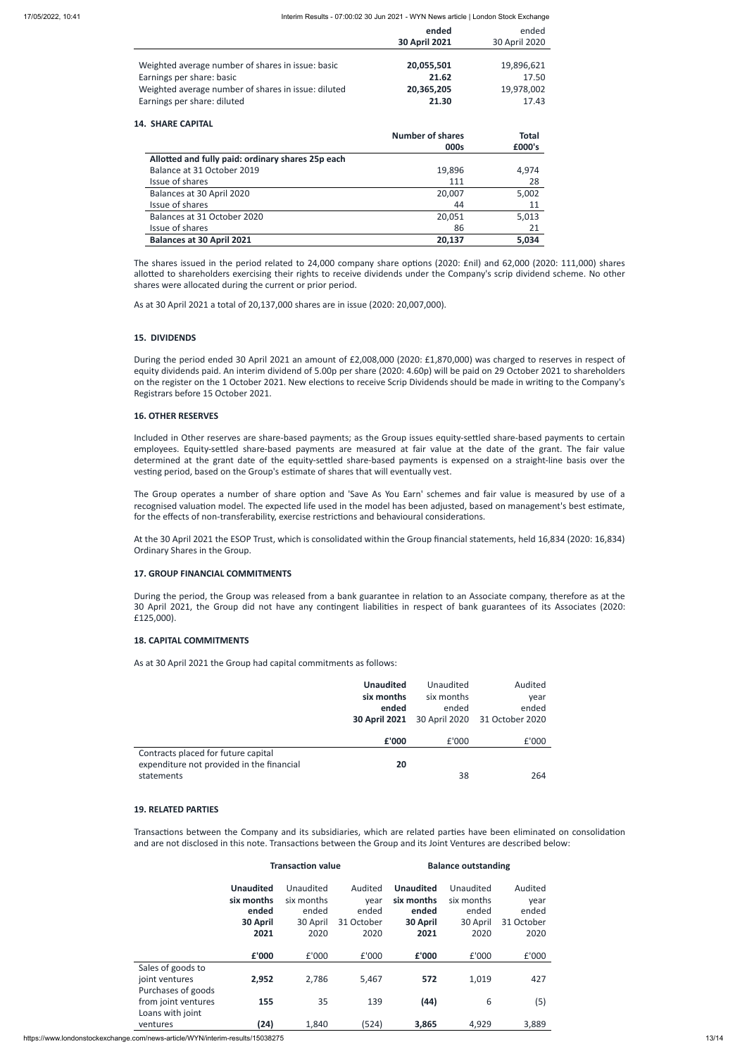|                                                     | ended<br><b>30 April 2021</b> | ended<br>30 April 2020 |
|-----------------------------------------------------|-------------------------------|------------------------|
|                                                     |                               |                        |
| Weighted average number of shares in issue: basic   | 20,055,501                    | 19,896,621             |
| Earnings per share: basic                           | 21.62                         | 17.50                  |
| Weighted average number of shares in issue: diluted | 20,365,205                    | 19,978,002             |
| Earnings per share: diluted                         | 21.30                         | 17.43                  |
| <b>14. SHARE CAPITAL</b>                            |                               |                        |
|                                                     | <b>Number of shares</b>       | <b>Total</b>           |
|                                                     | 000s                          | £000's                 |
| Allotted and fully paid: ordinary shares 25p each   |                               |                        |
| Balance at 31 October 2019                          | 19,896                        | 4,974                  |
| Issue of shares                                     | 111                           | 28                     |
| Balances at 30 April 2020                           | 20,007                        | 5,002                  |
| Issue of shares                                     | 44                            | 11                     |
| Balances at 31 October 2020                         | 20,051                        | 5,013                  |
| Issue of shares                                     | 86                            | 21                     |
| <b>Balances at 30 April 2021</b>                    | 20,137                        | 5,034                  |

The shares issued in the period related to 24,000 company share options (2020: £nil) and 62,000 (2020: 111,000) shares allotted to shareholders exercising their rights to receive dividends under the Company's scrip dividend scheme. No other shares were allocated during the current or prior period.

As at 30 April 2021 a total of 20,137,000 shares are in issue (2020: 20,007,000).

# **15. DIVIDENDS**

During the period ended 30 April 2021 an amount of £2,008,000 (2020: £1,870,000) was charged to reserves in respect of equity dividends paid. An interim dividend of 5.00p per share (2020: 4.60p) will be paid on 29 October 2021 to shareholders on the register on the 1 October 2021. New elections to receive Scrip Dividends should be made in writing to the Company's Registrars before 15 October 2021.

### **16. OTHER RESERVES**

Included in Other reserves are share-based payments; as the Group issues equity-settled share-based payments to certain employees. Equity-settled share-based payments are measured at fair value at the date of the grant. The fair value determined at the grant date of the equity-settled share-based payments is expensed on a straight-line basis over the vesting period, based on the Group's estimate of shares that will eventually vest.

The Group operates a number of share option and 'Save As You Earn' schemes and fair value is measured by use of a recognised valuation model. The expected life used in the model has been adjusted, based on management's best estimate, for the effects of non-transferability, exercise restrictions and behavioural considerations.

At the 30 April 2021 the ESOP Trust, which is consolidated within the Group financial statements, held 16,834 (2020: 16,834) Ordinary Shares in the Group.

### **17. GROUP FINANCIAL COMMITMENTS**

During the period, the Group was released from a bank guarantee in relation to an Associate company, therefore as at the 30 April 2021, the Group did not have any contingent liabilities in respect of bank guarantees of its Associates (2020: £125,000).

# **18. CAPITAL COMMITMENTS**

As at 30 April 2021 the Group had capital commitments as follows:

|                                                                                                | <b>Unaudited</b>     | Unaudited     | Audited         |
|------------------------------------------------------------------------------------------------|----------------------|---------------|-----------------|
|                                                                                                | six months           | six months    | year            |
|                                                                                                | ended                | ended         | ended           |
|                                                                                                | <b>30 April 2021</b> | 30 April 2020 | 31 October 2020 |
|                                                                                                | £'000                | £'000         | £'000           |
| Contracts placed for future capital<br>expenditure not provided in the financial<br>statements | 20                   | 38            | 264             |

## **19. RELATED PARTIES**

Transactions between the Company and its subsidiaries, which are related parties have been eliminated on consolidation and are not disclosed in this note. Transactions between the Group and its Joint Ventures are described below:

|                                                           | <b>Transaction value</b>                                    |                                                      |                                                | <b>Balance outstanding</b>                                  |                                                      |                                                |
|-----------------------------------------------------------|-------------------------------------------------------------|------------------------------------------------------|------------------------------------------------|-------------------------------------------------------------|------------------------------------------------------|------------------------------------------------|
|                                                           | <b>Unaudited</b><br>six months<br>ended<br>30 April<br>2021 | Unaudited<br>six months<br>ended<br>30 April<br>2020 | Audited<br>vear<br>ended<br>31 October<br>2020 | <b>Unaudited</b><br>six months<br>ended<br>30 April<br>2021 | Unaudited<br>six months<br>ended<br>30 April<br>2020 | Audited<br>vear<br>ended<br>31 October<br>2020 |
|                                                           | £'000                                                       | £'000                                                | £'000                                          | £'000                                                       | £'000                                                | £'000                                          |
| Sales of goods to<br>joint ventures<br>Purchases of goods | 2,952                                                       | 2,786                                                | 5,467                                          | 572                                                         | 1,019                                                | 427                                            |
| from joint ventures                                       | 155                                                         | 35                                                   | 139                                            | (44)                                                        | 6                                                    | (5)                                            |
| Loans with joint<br>ventures                              | (24)                                                        | 1,840                                                | (524)                                          | 3,865                                                       | 4,929                                                | 3,889                                          |

https://www.londonstockexchange.com/news-article/WYN/interim-results/15038275 13/14